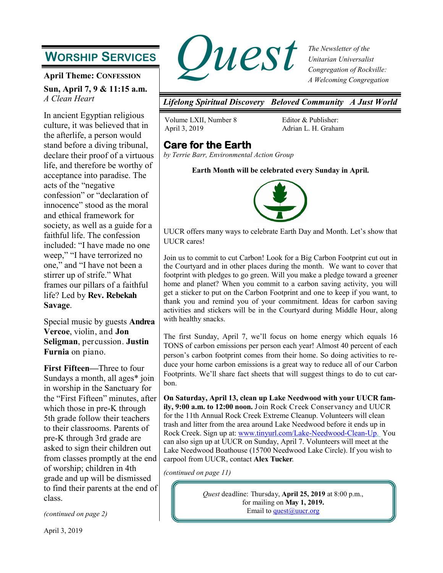# **WORSHIP SERVICES**

**April Theme: CONFESSION**

**Sun, April 7, 9 & 11:15 a.m.** *A Clean Heart*

In ancient Egyptian religious culture, it was believed that in the afterlife, a person would stand before a diving tribunal, declare their proof of a virtuous life, and therefore be worthy of acceptance into paradise. The acts of the "negative confession" or "declaration of innocence" stood as the moral and ethical framework for society, as well as a guide for a faithful life. The confession included: "I have made no one weep," "I have terrorized no one," and "I have not been a stirrer up of strife." What frames our pillars of a faithful life? Led by **Rev. Rebekah Savage**.

Special music by guests **Andrea Vercoe**, violin, and **Jon Seligman**, percussion. **Justin Furnia** on piano.

**First Fifteen—**Three to four Sundays a month, all ages\* join in worship in the Sanctuary for the "First Fifteen" minutes, after which those in pre-K through 5th grade follow their teachers to their classrooms. Parents of pre-K through 3rd grade are asked to sign their children out from classes promptly at the end of worship; children in 4th grade and up will be dismissed to find their parents at the end of class.

*(continued on page 2)*



*The Newsletter of the Unitarian Universalist Congregation of Rockville: A Welcoming Congregation*

*Lifelong Spiritual Discovery Beloved Community A Just World*

Volume LXII, Number 8 April 3, 2019

Editor & Publisher: Adrian L. H. Graham

# **Care for the Earth**

*by Terrie Barr, Environmental Action Group*

**Earth Month will be celebrated every Sunday in April.**



UUCR offers many ways to celebrate Earth Day and Month. Let's show that UUCR cares!

Join us to commit to cut Carbon! Look for a Big Carbon Footprint cut out in the Courtyard and in other places during the month. We want to cover that footprint with pledges to go green. Will you make a pledge toward a greener home and planet? When you commit to a carbon saving activity, you will get a sticker to put on the Carbon Footprint and one to keep if you want, to thank you and remind you of your commitment. Ideas for carbon saving activities and stickers will be in the Courtyard during Middle Hour, along with healthy snacks.

The first Sunday, April 7, we'll focus on home energy which equals 16 TONS of carbon emissions per person each year! Almost 40 percent of each person's carbon footprint comes from their home. So doing activities to reduce your home carbon emissions is a great way to reduce all of our Carbon Footprints. We'll share fact sheets that will suggest things to do to cut carbon.

**On Saturday, April 13, clean up Lake Needwood with your UUCR family, 9:00 a.m. to 12:00 noon.** Join Rock Creek Conservancy and UUCR for the 11th Annual Rock Creek Extreme Cleanup. Volunteers will clean trash and litter from the area around Lake Needwood before it ends up in Rock Creek. Sign up at: [www.tinyurl.com/Lake](http://www.tinyurl.com/Lake-Needwood-Clean-Up)-Needwood-Clean-Up. You can also sign up at UUCR on Sunday, April 7. Volunteers will meet at the Lake Needwood Boathouse (15700 Needwood Lake Circle). If you wish to carpool from UUCR, contact **Alex Tucker**.

*(continued on page 11)*

*Quest* deadline: Thursday, **April 25, 2019** at 8:00 p.m., for mailing on **May 1, 2019.** Email to quest $@$ uucr.org

April 3, 2019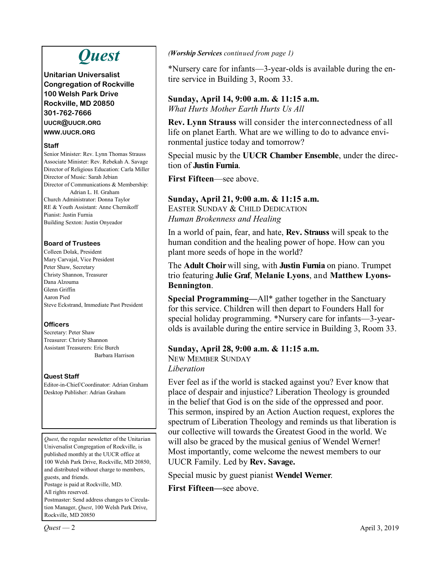# *Quest*

**Unitarian Universalist Congregation of Rockville 100 Welsh Park Drive Rockville, MD 20850 301-762-7666 UUCR@UUCR.ORG WWW.UUCR.ORG**

#### **Staff**

Senior Minister: Rev. Lynn Thomas Strauss Associate Minister: Rev. Rebekah A. Savage Director of Religious Education: Carla Miller Director of Music: Sarah Jebian Director of Communications & Membership: Adrian L. H. Graham Church Administrator: Donna Taylor RE & Youth Assistant: Anne Chernikoff Pianist: Justin Furnia Building Sexton: Justin Onyeador

### **Board of Trustees**

Colleen Dolak, President Mary Carvajal, Vice President Peter Shaw, Secretary Christy Shannon, Treasurer Dana Alzouma Glenn Griffin Aaron Pied Steve Eckstrand, Immediate Past President

### **Officers**

Secretary: Peter Shaw Treasurer: Christy Shannon Assistant Treasurers: Eric Burch Barbara Harrison

### **Quest Staff**

Editor-in-Chief/Coordinator: Adrian Graham Desktop Publisher: Adrian Graham

*Quest*, the regular newsletter of the Unitarian Universalist Congregation of Rockville, is published monthly at the UUCR office at 100 Welsh Park Drive, Rockville, MD 20850, and distributed without charge to members, guests, and friends. Postage is paid at Rockville, MD. All rights reserved. Postmaster: Send address changes to Circulation Manager, *Quest*, 100 Welsh Park Drive,

Rockville, MD 20850

### *(Worship Services continued from page 1)*

\*Nursery care for infants—3-year-olds is available during the entire service in Building 3, Room 33.

#### **Sunday, April 14, 9:00 a.m. & 11:15 a.m.** *What Hurts Mother Earth Hurts Us All*

**Rev. Lynn Strauss** will consider the interconnectedness of all life on planet Earth. What are we willing to do to advance envi-

ronmental justice today and tomorrow?

Special music by the **UUCR Chamber Ensemble**, under the direction of **Justin Furnia**.

**First Fifteen**—see above.

### **Sunday, April 21, 9:00 a.m. & 11:15 a.m.**

EASTER SUNDAY & CHILD DEDICATION *Human Brokenness and Healing*

In a world of pain, fear, and hate, **Rev. Strauss** will speak to the human condition and the healing power of hope. How can you plant more seeds of hope in the world?

The **Adult Choir** will sing, with **Justin Furnia** on piano. Trumpet trio featuring **Julie Graf**, **Melanie Lyons**, and **Matthew Lyons-Bennington**.

**Special Programming—**All\* gather together in the Sanctuary for this service. Children will then depart to Founders Hall for special holiday programming. \*Nursery care for infants—3-yearolds is available during the entire service in Building 3, Room 33.

### **Sunday, April 28, 9:00 a.m. & 11:15 a.m.**

NEW MEMBER SUNDAY *Liberation*

Ever feel as if the world is stacked against you? Ever know that place of despair and injustice? Liberation Theology is grounded in the belief that God is on the side of the oppressed and poor. This sermon, inspired by an Action Auction request, explores the spectrum of Liberation Theology and reminds us that liberation is our collective will towards the Greatest Good in the world. We will also be graced by the musical genius of Wendel Werner! Most importantly, come welcome the newest members to our UUCR Family. Led by **Rev. Savage.**

Special music by guest pianist **Wendel Werner**.

**First Fifteen—**see above.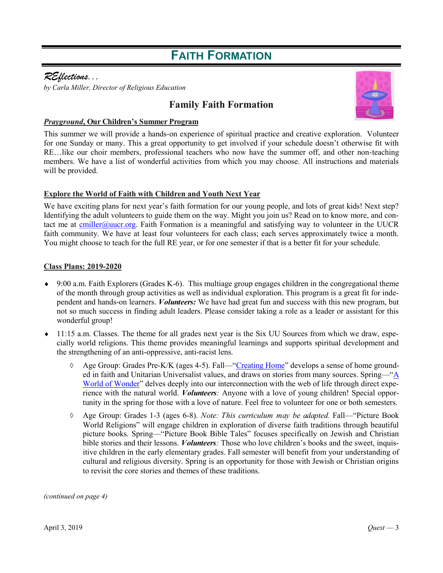# **FAITH FORMATION**

### *REflections...*

*by Carla Miller, Director of Religious Education* 

### **Family Faith Formation**



#### *Prayground***, Our Children's Summer Program**

This summer we will provide a hands-on experience of spiritual practice and creative exploration. Volunteer for one Sunday or many. This a great opportunity to get involved if your schedule doesn't otherwise fit with RE…like our choir members, professional teachers who now have the summer off, and other non-teaching members. We have a list of wonderful activities from which you may choose. All instructions and materials will be provided.

### **Explore the World of Faith with Children and Youth Next Year**

We have exciting plans for next year's faith formation for our young people, and lots of great kids! Next step? Identifying the adult volunteers to guide them on the way. Might you join us? Read on to know more, and contact me at [cmiller@uucr.org.](mailto:cmiller@uucr.org) Faith Formation is a meaningful and satisfying way to volunteer in the UUCR faith community. We have at least four volunteers for each class; each serves approximately twice a month. You might choose to teach for the full RE year, or for one semester if that is a better fit for your schedule.

### **Class Plans: 2019-2020**

- $\bullet$  9:00 a.m. Faith Explorers (Grades K-6). This multiage group engages children in the congregational theme of the month through group activities as well as individual exploration. This program is a great fit for independent and hands-on learners. *Volunteers:* We have had great fun and success with this new program, but not so much success in finding adult leaders. Please consider taking a role as a leader or assistant for this wonderful group!
- 11:15 a.m. Classes. The theme for all grades next year is the Six UU Sources from which we draw, especially world religions. This theme provides meaningful learnings and supports spiritual development and the strengthening of an anti-oppressive, anti-racist lens.
	- Age Group: Grades Pre-K/K (ages 4-5). Fall—["Creating Home"](https://www.uua.org/re/tapestry/children/home) develops a sense of home grounded in faith and Unitarian Universalist values, and draws on stories from many sources. Spring—"[A](https://www.uua.org/re/tapestry/children/wonder)  [World of Wonder"](https://www.uua.org/re/tapestry/children/wonder) delves deeply into our interconnection with the web of life through direct experience with the natural world. *Volunteers:* Anyone with a love of young children! Special opportunity in the spring for those with a love of nature. Feel free to volunteer for one or both semesters.
	- Age Group: Grades 1-3 (ages 6-8). *Note: This curriculum may be adapted.* Fall—"Picture Book World Religions" will engage children in exploration of diverse faith traditions through beautiful picture books. Spring—"Picture Book Bible Tales" focuses specifically on Jewish and Christian bible stories and their lessons. *Volunteers:* Those who love children's books and the sweet, inquisitive children in the early elementary grades. Fall semester will benefit from your understanding of cultural and religious diversity. Spring is an opportunity for those with Jewish or Christian origins to revisit the core stories and themes of these traditions.

*(continued on page 4)*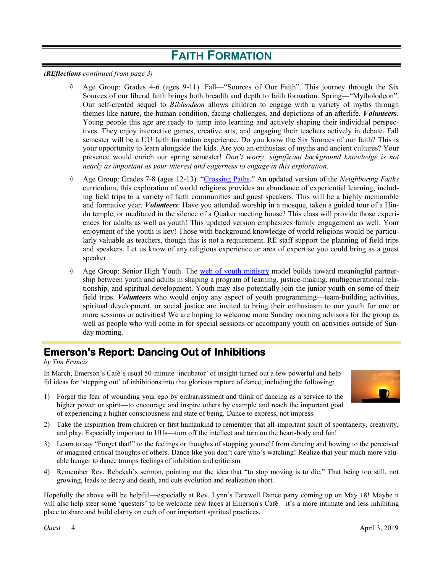# **FAITH FORMATION**

*(REflections continued from page 3)*

- Age Group: Grades 4-6 (ages 9-11). Fall—"Sources of Our Faith". This journey through the Six Sources of our liberal faith brings both breadth and depth to faith formation. Spring—"Mytholodeon". Our self-created sequel to *Bibleodeon* allows children to engage with a variety of myths through themes like nature, the human condition, facing challenges, and depictions of an afterlife. *Volunteers:*  Young people this age are ready to jump into learning and actively shaping their individual perspectives. They enjoy interactive games, creative arts, and engaging their teachers actively in debate. Fall semester will be a UU faith formation experience. Do you know the [Six Sources](https://www.uua.org/beliefs/what-we-believe/sources) of our faith? This is your opportunity to learn alongside the kids. Are you an enthusiast of myths and ancient cultures? Your presence would enrich our spring semester! *Don't worry, significant background knowledge is not nearly as important as your interest and eagerness to engage in this exploration.*
- Age Group: Grades 7-8 (ages 12-13). "[Crossing Paths."](https://www.soulmatterssharingcircle.com/crossing-paths.html) An updated version of the *Neighboring Faiths*  curriculum, this exploration of world religions provides an abundance of experiential learning, including field trips to a variety of faith communities and guest speakers. This will be a highly memorable and formative year. *Volunteers*: Have you attended worship in a mosque, taken a guided tour of a Hindu temple, or meditated in the silence of a Quaker meeting house? This class will provide those experiences for adults as well as youth! This updated version emphasizes family engagement as well. Your enjoyment of the youth is key! Those with background knowledge of world religions would be particularly valuable as teachers, though this is not a requirement. RE staff support the planning of field trips and speakers. Let us know of any religious experience or area of expertise you could bring as a guest speaker.
- $\Diamond$  Age Group: Senior High Youth. The [web of youth ministry](https://www.uua.org/blueboat/guides/enter-uu-web-youth-ministry) model builds toward meaningful partnership between youth and adults in shaping a program of learning, justice-making, multigenerational relationship, and spiritual development. Youth may also potentially join the junior youth on some of their field trips. *Volunteers* who would enjoy any aspect of youth programming—team-building activities, spiritual development, or social justice are invited to bring their enthusiasm to our youth for one or more sessions or activities! We are hoping to welcome more Sunday morning advisors for the group as well as people who will come in for special sessions or accompany youth on activities outside of Sunday morning.

# **Emerson's Report: Dancing Out of Inhibitions**

#### *by Tim Francis*

In March, Emerson's Café's usual 50-minute 'incubator' of insight turned out a few powerful and helpful ideas for 'stepping out' of inhibitions into that glorious rapture of dance, including the following:



- 1) Forget the fear of wounding your ego by embarrassment and think of dancing as a service to the higher power or spirit—to encourage and inspire others by example and reach the important goal of experiencing a higher consciousness and state of being. Dance to express, not impress.
- 2) Take the inspiration from children or first humankind to remember that all-important spirit of spontaneity, creativity, and play. Especially important to UUs—turn off the intellect and turn on the heart-body and fun!
- 3) Learn to say "Forget that!" to the feelings or thoughts of stopping yourself from dancing and bowing to the perceived or imagined critical thoughts of others. Dance like you don't care who's watching! Realize that your much more valuable hunger to dance trumps feelings of inhibition and criticism.
- 4) Remember Rev. Rebekah's sermon, pointing out the idea that "to stop moving is to die." That being too still, not growing, leads to decay and death, and cuts evolution and realization short.

Hopefully the above will be helpful—especially at Rev. Lynn's Farewell Dance party coming up on May 18! Maybe it will also help steer some 'questers' to be welcome new faces at Emerson's Café—it's a more intimate and less inhibiting place to share and build clarity on each of our important spiritual practices.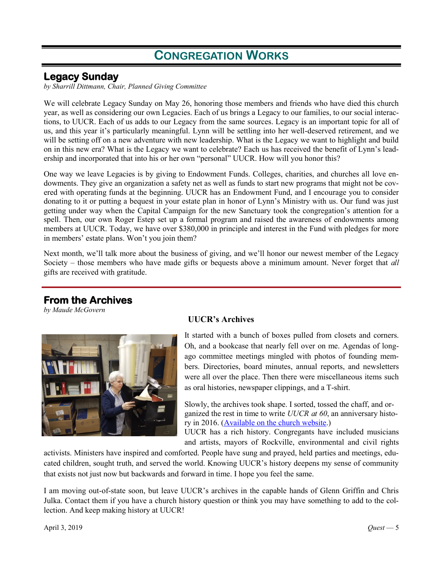# **CONGREGATION WORKS**

### **Legacy Sunday**

*by Sharrill Dittmann, Chair, Planned Giving Committee*

We will celebrate Legacy Sunday on May 26, honoring those members and friends who have died this church year, as well as considering our own Legacies. Each of us brings a Legacy to our families, to our social interactions, to UUCR. Each of us adds to our Legacy from the same sources. Legacy is an important topic for all of us, and this year it's particularly meaningful. Lynn will be settling into her well-deserved retirement, and we will be setting off on a new adventure with new leadership. What is the Legacy we want to highlight and build on in this new era? What is the Legacy we want to celebrate? Each us has received the benefit of Lynn's leadership and incorporated that into his or her own "personal" UUCR. How will you honor this?

One way we leave Legacies is by giving to Endowment Funds. Colleges, charities, and churches all love endowments. They give an organization a safety net as well as funds to start new programs that might not be covered with operating funds at the beginning. UUCR has an Endowment Fund, and I encourage you to consider donating to it or putting a bequest in your estate plan in honor of Lynn's Ministry with us. Our fund was just getting under way when the Capital Campaign for the new Sanctuary took the congregation's attention for a spell. Then, our own Roger Estep set up a formal program and raised the awareness of endowments among members at UUCR. Today, we have over \$380,000 in principle and interest in the Fund with pledges for more in members' estate plans. Won't you join them?

Next month, we'll talk more about the business of giving, and we'll honor our newest member of the Legacy Society – those members who have made gifts or bequests above a minimum amount. Never forget that *all* gifts are received with gratitude.

### **From the Archives**

*by Maude McGovern*



### **UUCR's Archives**

It started with a bunch of boxes pulled from closets and corners. Oh, and a bookcase that nearly fell over on me. Agendas of longago committee meetings mingled with photos of founding members. Directories, board minutes, annual reports, and newsletters were all over the place. Then there were miscellaneous items such as oral histories, newspaper clippings, and a T-shirt.

Slowly, the archives took shape. I sorted, tossed the chaff, and organized the rest in time to write *UUCR at 60*, an anniversary history in 2016. ([Available on the church website.\)](https://www.uucr.org/sites/default/files/internal-documents/UUCR%2060th%20Anniversary%20History%20-FINAL.pdf)

UUCR has a rich history. Congregants have included musicians and artists, mayors of Rockville, environmental and civil rights

activists. Ministers have inspired and comforted. People have sung and prayed, held parties and meetings, educated children, sought truth, and served the world. Knowing UUCR's history deepens my sense of community that exists not just now but backwards and forward in time. I hope you feel the same.

I am moving out-of-state soon, but leave UUCR's archives in the capable hands of Glenn Griffin and Chris Julka. Contact them if you have a church history question or think you may have something to add to the collection. And keep making history at UUCR!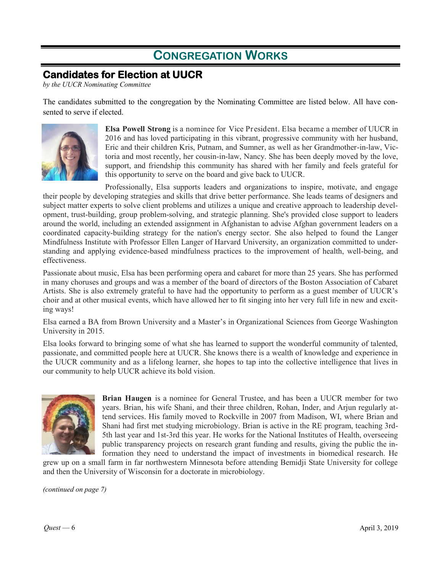# **CONGREGATION WORKS**

# **Candidates for Election at UUCR**

*by the UUCR Nominating Committee*

The candidates submitted to the congregation by the Nominating Committee are listed below. All have consented to serve if elected.



**Elsa Powell Strong** is a nominee for Vice President. Elsa became a member of UUCR in 2016 and has loved participating in this vibrant, progressive community with her husband, Eric and their children Kris, Putnam, and Sumner, as well as her Grandmother-in-law, Victoria and most recently, her cousin-in-law, Nancy. She has been deeply moved by the love, support, and friendship this community has shared with her family and feels grateful for this opportunity to serve on the board and give back to UUCR.

Professionally, Elsa supports leaders and organizations to inspire, motivate, and engage their people by developing strategies and skills that drive better performance. She leads teams of designers and subject matter experts to solve client problems and utilizes a unique and creative approach to leadership development, trust-building, group problem-solving, and strategic planning. She's provided close support to leaders around the world, including an extended assignment in Afghanistan to advise Afghan government leaders on a coordinated capacity-building strategy for the nation's energy sector. She also helped to found the Langer Mindfulness Institute with Professor Ellen Langer of Harvard University, an organization committed to understanding and applying evidence-based mindfulness practices to the improvement of health, well-being, and effectiveness.

Passionate about music, Elsa has been performing opera and cabaret for more than 25 years. She has performed in many choruses and groups and was a member of the board of directors of the Boston Association of Cabaret Artists. She is also extremely grateful to have had the opportunity to perform as a guest member of UUCR's choir and at other musical events, which have allowed her to fit singing into her very full life in new and exciting ways!

Elsa earned a BA from Brown University and a Master's in Organizational Sciences from George Washington University in 2015.

Elsa looks forward to bringing some of what she has learned to support the wonderful community of talented, passionate, and committed people here at UUCR. She knows there is a wealth of knowledge and experience in the UUCR community and as a lifelong learner, she hopes to tap into the collective intelligence that lives in our community to help UUCR achieve its bold vision.



**Brian Haugen** is a nominee for General Trustee, and has been a UUCR member for two years. Brian, his wife Shani, and their three children, Rohan, Inder, and Arjun regularly attend services. His family moved to Rockville in 2007 from Madison, WI, where Brian and Shani had first met studying microbiology. Brian is active in the RE program, teaching 3rd-5th last year and 1st-3rd this year. He works for the National Institutes of Health, overseeing public transparency projects on research grant funding and results, giving the public the information they need to understand the impact of investments in biomedical research. He

grew up on a small farm in far northwestern Minnesota before attending Bemidji State University for college and then the University of Wisconsin for a doctorate in microbiology.

*(continued on page 7)*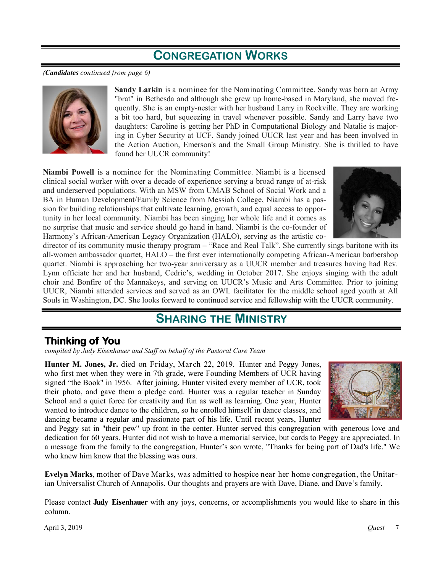# **CONGREGATION WORKS**

*(Candidates continued from page 6)*



**Sandy Larkin** is a nominee for the Nominating Committee. Sandy was born an Army "brat" in Bethesda and although she grew up home-based in Maryland, she moved frequently. She is an empty-nester with her husband Larry in Rockville. They are working a bit too hard, but squeezing in travel whenever possible. Sandy and Larry have two daughters: Caroline is getting her PhD in Computational Biology and Natalie is majoring in Cyber Security at UCF. Sandy joined UUCR last year and has been involved in the Action Auction, Emerson's and the Small Group Ministry. She is thrilled to have found her UUCR community!

**Niambi Powell** is a nominee for the Nominating Committee. Niambi is a licensed clinical social worker with over a decade of experience serving a broad range of at-risk and underserved populations. With an MSW from UMAB School of Social Work and a BA in Human Development/Family Science from Messiah College, Niambi has a passion for building relationships that cultivate learning, growth, and equal access to opportunity in her local community. Niambi has been singing her whole life and it comes as no surprise that music and service should go hand in hand. Niambi is the co-founder of Harmony's African-American Legacy Organization (HALO), serving as the artistic co-



director of its community music therapy program – "Race and Real Talk". She currently sings baritone with its all-women ambassador quartet, HALO – the first ever internationally competing African-American barbershop quartet. Niambi is approaching her two-year anniversary as a UUCR member and treasures having had Rev. Lynn officiate her and her husband, Cedric's, wedding in October 2017. She enjoys singing with the adult choir and Bonfire of the Mannakeys, and serving on UUCR's Music and Arts Committee. Prior to joining UUCR, Niambi attended services and served as an OWL facilitator for the middle school aged youth at All Souls in Washington, DC. She looks forward to continued service and fellowship with the UUCR community.

# **SHARING THE MINISTRY**

## **Thinking of You**

*compiled by Judy Eisenhauer and Staff on behalf of the Pastoral Care Team*

**Hunter M. Jones, Jr.** died on Friday, March 22, 2019. Hunter and Peggy Jones, who first met when they were in 7th grade, were Founding Members of UCR having signed "the Book" in 1956. After joining, Hunter visited every member of UCR, took their photo, and gave them a pledge card. Hunter was a regular teacher in Sunday School and a quiet force for creativity and fun as well as learning. One year, Hunter wanted to introduce dance to the children, so he enrolled himself in dance classes, and dancing became a regular and passionate part of his life. Until recent years, Hunter



and Peggy sat in "their pew" up front in the center. Hunter served this congregation with generous love and dedication for 60 years. Hunter did not wish to have a memorial service, but cards to Peggy are appreciated. In a message from the family to the congregation, Hunter's son wrote, "Thanks for being part of Dad's life." We who knew him know that the blessing was ours.

**Evelyn Marks**, mother of Dave Marks, was admitted to hospice near her home congregation, the Unitarian Universalist Church of Annapolis. Our thoughts and prayers are with Dave, Diane, and Dave's family.

Please contact **Judy Eisenhauer** with any joys, concerns, or accomplishments you would like to share in this column.

April 3, 2019 *Quest* — 7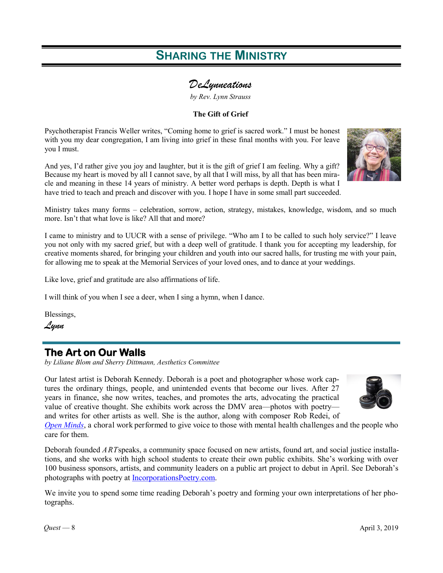# **SHARING THE MINISTRY**

### *DeLynneations*

*by Rev. Lynn Strauss* 

### **The Gift of Grief**

Psychotherapist Francis Weller writes, "Coming home to grief is sacred work." I must be honest with you my dear congregation, I am living into grief in these final months with you. For leave you I must.

And yes, I'd rather give you joy and laughter, but it is the gift of grief I am feeling. Why a gift? Because my heart is moved by all I cannot save, by all that I will miss, by all that has been miracle and meaning in these 14 years of ministry. A better word perhaps is depth. Depth is what I have tried to teach and preach and discover with you. I hope I have in some small part succeeded.

Ministry takes many forms – celebration, sorrow, action, strategy, mistakes, knowledge, wisdom, and so much more. Isn't that what love is like? All that and more?

I came to ministry and to UUCR with a sense of privilege. "Who am I to be called to such holy service?" I leave you not only with my sacred grief, but with a deep well of gratitude. I thank you for accepting my leadership, for creative moments shared, for bringing your children and youth into our sacred halls, for trusting me with your pain, for allowing me to speak at the Memorial Services of your loved ones, and to dance at your weddings.

Like love, grief and gratitude are also affirmations of life.

I will think of you when I see a deer, when I sing a hymn, when I dance.

Blessings,

*Lynn*

### **The Art on Our Walls**

*by Liliane Blom and Sherry Dittmann, Aesthetics Committee*

Our latest artist is Deborah Kennedy. Deborah is a poet and photographer whose work captures the ordinary things, people, and unintended events that become our lives. After 27 years in finance, she now writes, teaches, and promotes the arts, advocating the practical value of creative thought. She exhibits work across the DMV area—photos with poetry and writes for other artists as well. She is the author, along with composer Rob Redei, of



*[Open Minds](https://www.youtube.com/watch?v=U_SvSrWIphw)*, a choral work performed to give voice to those with mental health challenges and the people who care for them.

Deborah founded *ART*speaks, a community space focused on new artists, found art, and social justice installations, and she works with high school students to create their own public exhibits. She's working with over 100 business sponsors, artists, and community leaders on a public art project to debut in April. See Deborah's photographs with poetry at [IncorporationsPoetry.com.](https://incorporationspoetry.org/)

We invite you to spend some time reading Deborah's poetry and forming your own interpretations of her photographs.

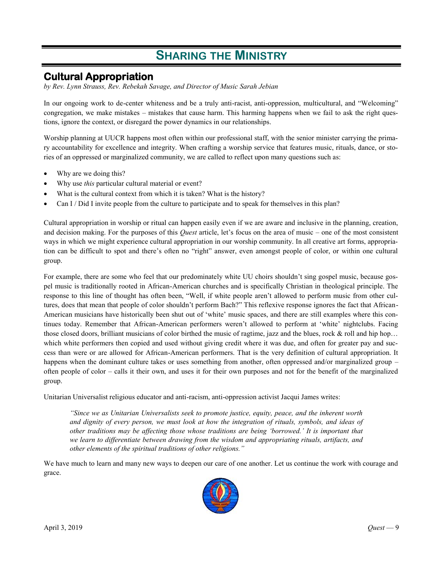# **SHARING THE MINISTRY**

### **Cultural Appropriation**

*by Rev. Lynn Strauss, Rev. Rebekah Savage, and Director of Music Sarah Jebian*

In our ongoing work to de-center whiteness and be a truly anti-racist, anti-oppression, multicultural, and "Welcoming" congregation, we make mistakes – mistakes that cause harm. This harming happens when we fail to ask the right questions, ignore the context, or disregard the power dynamics in our relationships.

Worship planning at UUCR happens most often within our professional staff, with the senior minister carrying the primary accountability for excellence and integrity. When crafting a worship service that features music, rituals, dance, or stories of an oppressed or marginalized community, we are called to reflect upon many questions such as:

- Why are we doing this?
- Why use *this* particular cultural material or event?
- What is the cultural context from which it is taken? What is the history?
- Can I / Did I invite people from the culture to participate and to speak for themselves in this plan?

Cultural appropriation in worship or ritual can happen easily even if we are aware and inclusive in the planning, creation, and decision making. For the purposes of this *Quest* article, let's focus on the area of music – one of the most consistent ways in which we might experience cultural appropriation in our worship community. In all creative art forms, appropriation can be difficult to spot and there's often no "right" answer, even amongst people of color, or within one cultural group.

For example, there are some who feel that our predominately white UU choirs shouldn't sing gospel music, because gospel music is traditionally rooted in African-American churches and is specifically Christian in theological principle. The response to this line of thought has often been, "Well, if white people aren't allowed to perform music from other cultures, does that mean that people of color shouldn't perform Bach?" This reflexive response ignores the fact that African-American musicians have historically been shut out of 'white' music spaces, and there are still examples where this continues today. Remember that African-American performers weren't allowed to perform at 'white' nightclubs. Facing those closed doors, brilliant musicians of color birthed the music of ragtime, jazz and the blues, rock & roll and hip hop... which white performers then copied and used without giving credit where it was due, and often for greater pay and success than were or are allowed for African-American performers. That is the very definition of cultural appropriation. It happens when the dominant culture takes or uses something from another, often oppressed and/or marginalized group – often people of color – calls it their own, and uses it for their own purposes and not for the benefit of the marginalized group.

Unitarian Universalist religious educator and anti-racism, anti-oppression activist Jacqui James writes:

*"Since we as Unitarian Universalists seek to promote justice, equity, peace, and the inherent worth and dignity of every person, we must look at how the integration of rituals, symbols, and ideas of other traditions may be affecting those whose traditions are being 'borrowed.' It is important that we learn to differentiate between drawing from the wisdom and appropriating rituals, artifacts, and other elements of the spiritual traditions of other religions."*

We have much to learn and many new ways to deepen our care of one another. Let us continue the work with courage and grace.

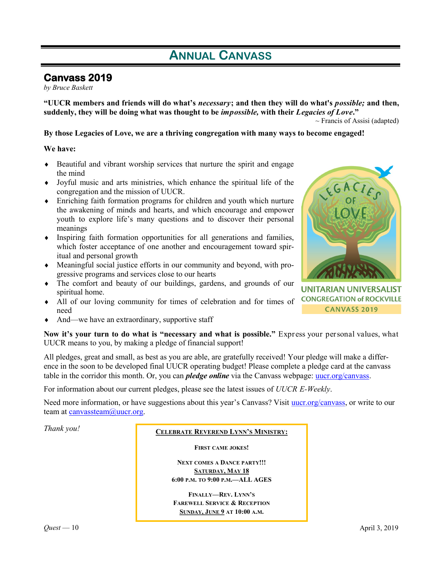# **ANNUAL CANVASS**

### **Canvass 2019**

*by Bruce Baskett*

**"UUCR members and friends will do what's** *necessary***; and then they will do what's** *possible;* **and then, suddenly, they will be doing what was thought to be** *impossible,* **with their** *Legacies of Love***."** 

 $\sim$  Francis of Assisi (adapted)

#### **By those Legacies of Love, we are a thriving congregation with many ways to become engaged!**

#### **We have:**

- Beautiful and vibrant worship services that nurture the spirit and engage the mind
- Joyful music and arts ministries, which enhance the spiritual life of the congregation and the mission of UUCR.
- Enriching faith formation programs for children and youth which nurture the awakening of minds and hearts, and which encourage and empower youth to explore life's many questions and to discover their personal meanings
- Inspiring faith formation opportunities for all generations and families, which foster acceptance of one another and encouragement toward spiritual and personal growth
- Meaningful social justice efforts in our community and beyond, with progressive programs and services close to our hearts
- The comfort and beauty of our buildings, gardens, and grounds of our spiritual home.
- All of our loving community for times of celebration and for times of need
- And—we have an extraordinary, supportive staff

**Now it's your turn to do what is "necessary and what is possible."** Express your personal values, what UUCR means to you, by making a pledge of financial support!

All pledges, great and small, as best as you are able, are gratefully received! Your pledge will make a difference in the soon to be developed final UUCR operating budget! Please complete a pledge card at the canvass table in the corridor this month. Or, you can *pledge online* via the Canvass webpage: [uucr.org/canvass.](http://www.uucr.org/canvass)

For information about our current pledges, please see the latest issues of *UUCR E-Weekly*.

Need more information, or have suggestions about this year's Canvass? Visit [uucr.org/canvass,](http://www.uucr.org/canvass) or write to our team at canvassteam@uucr.org.

### **CELEBRATE REVEREND LYNN'S MINISTRY:**

**FIRST CAME JOKES!**

**NEXT COMES A DANCE PARTY!!! SATURDAY, MAY 18 6:00 P.M. TO 9:00 P.M.—ALL AGES**

**FINALLY—REV. LYNN'S FAREWELL SERVICE & RECEPTION SUNDAY, JUNE 9 AT 10:00 A.M.**



**UNITARIAN UNIVERSALIST CONGREGATION of ROCKVILLE CANVASS 2019**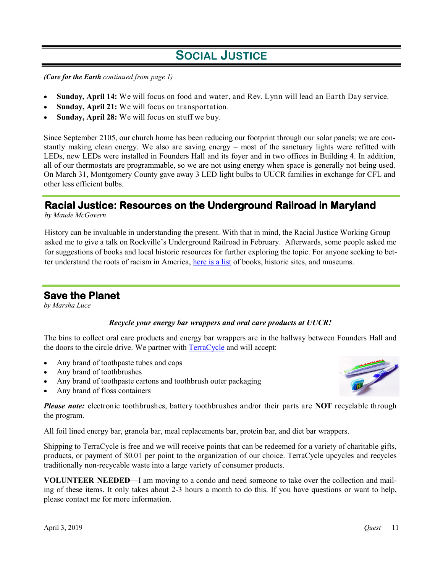# **SOCIAL JUSTICE**

*(Care for the Earth continued from page 1)*

- **Sunday, April 14:** We will focus on food and water, and Rev. Lynn will lead an Earth Day service.
- **Sunday, April 21:** We will focus on transportation.
- **Sunday, April 28:** We will focus on stuff we buy.

Since September 2105, our church home has been reducing our footprint through our solar panels; we are constantly making clean energy. We also are saving energy – most of the sanctuary lights were refitted with LEDs, new LEDs were installed in Founders Hall and its foyer and in two offices in Building 4. In addition, all of our thermostats are programmable, so we are not using energy when space is generally not being used. On March 31, Montgomery County gave away 3 LED light bulbs to UUCR families in exchange for CFL and other less efficient bulbs.

### **Racial Justice: Resources on the Underground Railroad in Maryland**

*by Maude McGovern*

History can be invaluable in understanding the present. With that in mind, the Racial Justice Working Group asked me to give a talk on Rockville's Underground Railroad in February. Afterwards, some people asked me for suggestions of books and local historic resources for further exploring the topic. For anyone seeking to better understand the roots of racism in America, [here is a list](https://www.uucr.org/sites/default/files/document-archive/UGRR%20Resources.pdf) of books, historic sites, and museums.

### **Save the Planet**

*by Marsha Luce*

#### *Recycle your energy bar wrappers and oral care products at UUCR!*

The bins to collect oral care products and energy bar wrappers are in the hallway between Founders Hall and the doors to the circle drive. We partner with [TerraCycle](https://www.terracycle.com/en-US/) and will accept:

- Any brand of toothpaste tubes and caps
- Any brand of toothbrushes
- Any brand of toothpaste cartons and toothbrush outer packaging
- Any brand of floss containers



*Please note:* electronic toothbrushes, battery toothbrushes and/or their parts are **NOT** recyclable through the program.

All foil lined energy bar, granola bar, meal replacements bar, protein bar, and diet bar wrappers.

Shipping to TerraCycle is free and we will receive points that can be redeemed for a variety of charitable gifts, products, or payment of \$0.01 per point to the organization of our choice. TerraCycle upcycles and recycles traditionally non-recycable waste into a large variety of consumer products.

**VOLUNTEER NEEDED**—I am moving to a condo and need someone to take over the collection and mailing of these items. It only takes about 2-3 hours a month to do this. If you have questions or want to help, please contact me for more information.